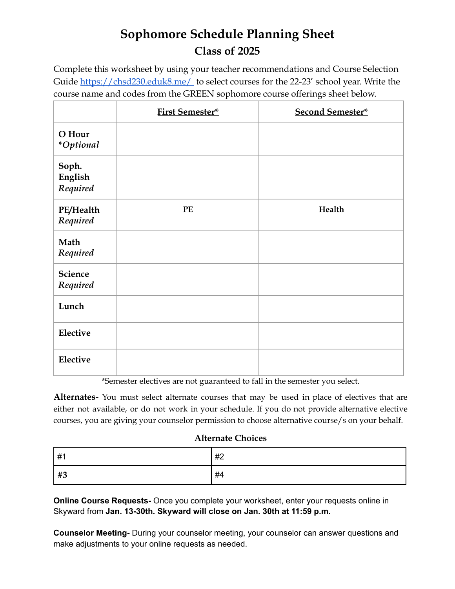## **Sophomore Schedule Planning Sheet Class of 2025**

Complete this worksheet by using your teacher recommendations and Course Selection Guide <https://chsd230.eduk8.me/> to select courses for the 22-23' school year. Write the course name and codes from the GREEN sophomore course offerings sheet below.

|                              | <b>First Semester*</b> | <b>Second Semester*</b> |
|------------------------------|------------------------|-------------------------|
| O Hour<br><i>*Optional</i>   |                        |                         |
| Soph.<br>English<br>Required |                        |                         |
| PE/Health<br>Required        | $\mathbf{P}\mathbf{E}$ | Health                  |
| Math<br>Required             |                        |                         |
| <b>Science</b><br>Required   |                        |                         |
| Lunch                        |                        |                         |
| Elective                     |                        |                         |
| Elective                     |                        |                         |

\*Semester electives are not guaranteed to fall in the semester you select.

**Alternates-** You must select alternate courses that may be used in place of electives that are either not available, or do not work in your schedule. If you do not provide alternative elective courses, you are giving your counselor permission to choose alternative course/s on your behalf.

## **Alternate Choices**

| l #1 | #2 |
|------|----|
| #3   | #4 |

**Online Course Requests-** Once you complete your worksheet, enter your requests online in Skyward from **Jan. 13-30th. Skyward will close on Jan. 30th at 11:59 p.m.**

**Counselor Meeting-** During your counselor meeting, your counselor can answer questions and make adjustments to your online requests as needed.